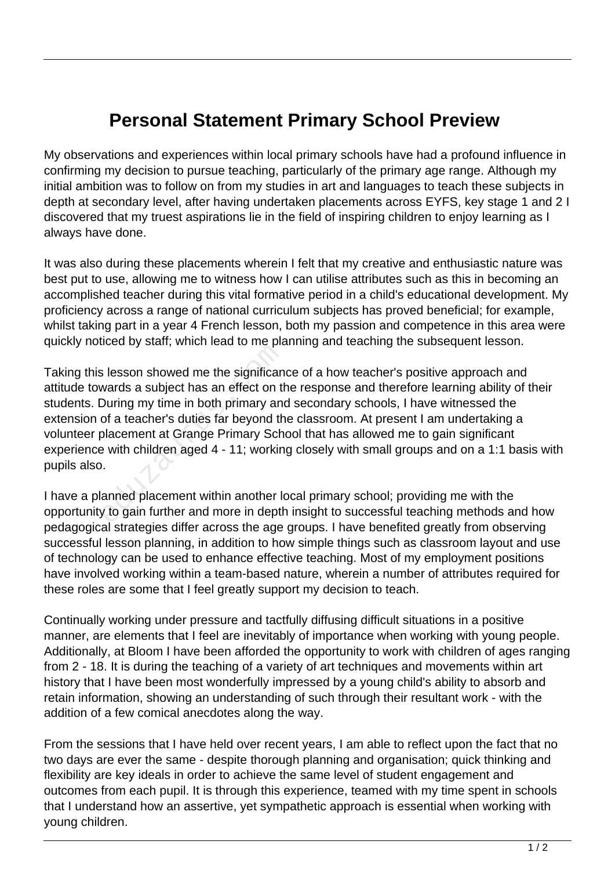## **Personal Statement Primary School Preview**

My observations and experiences within local primary schools have had a profound influence in confirming my decision to pursue teaching, particularly of the primary age range. Although my initial ambition was to follow on from my studies in art and languages to teach these subjects in depth at secondary level, after having undertaken placements across EYFS, key stage 1 and 2 I discovered that my truest aspirations lie in the field of inspiring children to enjoy learning as I always have done.

It was also during these placements wherein I felt that my creative and enthusiastic nature was best put to use, allowing me to witness how I can utilise attributes such as this in becoming an accomplished teacher during this vital formative period in a child's educational development. My proficiency across a range of national curriculum subjects has proved beneficial; for example, whilst taking part in a year 4 French lesson, both my passion and competence in this area were quickly noticed by staff; which lead to me planning and teaching the subsequent lesson.

Taking this lesson showed me the significance of a how teacher's positive approach and attitude towards a subject has an effect on the response and therefore learning ability of their students. During my time in both primary and secondary schools, I have witnessed the extension of a teacher's duties far beyond the classroom. At present I am undertaking a volunteer placement at Grange Primary School that has allowed me to gain significant experience with children aged 4 - 11; working closely with small groups and on a 1:1 basis with pupils also. Example and y stand, and are the significant wards a subject has an effect on the During my time in both primary and of a teacher's duties far beyond the blacement at Grange Primary Sch with children aged 4 - 11; working.<br>

I have a planned placement within another local primary school; providing me with the opportunity to gain further and more in depth insight to successful teaching methods and how pedagogical strategies differ across the age groups. I have benefited greatly from observing successful lesson planning, in addition to how simple things such as classroom layout and use of technology can be used to enhance effective teaching. Most of my employment positions have involved working within a team-based nature, wherein a number of attributes required for these roles are some that I feel greatly support my decision to teach.

Continually working under pressure and tactfully diffusing difficult situations in a positive manner, are elements that I feel are inevitably of importance when working with young people. Additionally, at Bloom I have been afforded the opportunity to work with children of ages ranging from 2 - 18. It is during the teaching of a variety of art techniques and movements within art history that I have been most wonderfully impressed by a young child's ability to absorb and retain information, showing an understanding of such through their resultant work - with the addition of a few comical anecdotes along the way.

From the sessions that I have held over recent years, I am able to reflect upon the fact that no two days are ever the same - despite thorough planning and organisation; quick thinking and flexibility are key ideals in order to achieve the same level of student engagement and outcomes from each pupil. It is through this experience, teamed with my time spent in schools that I understand how an assertive, yet sympathetic approach is essential when working with young children.